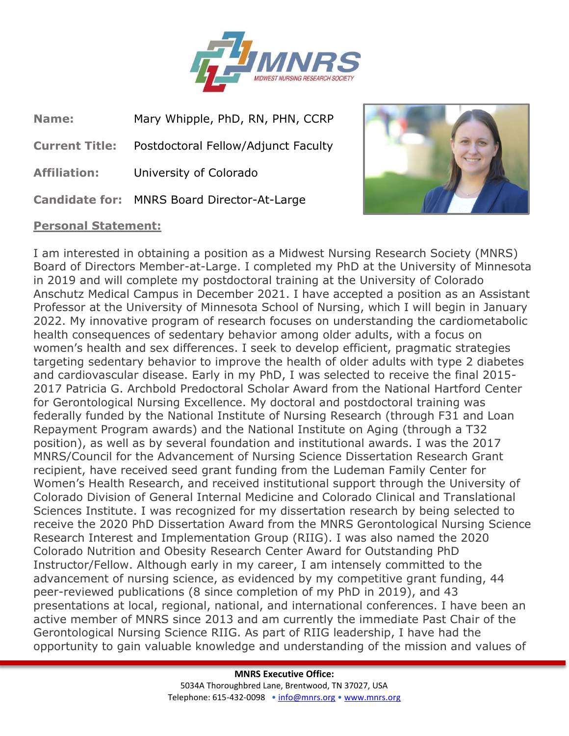

**Name:** Mary Whipple, PhD, RN, PHN, CCRP

**Current Title:** Postdoctoral Fellow/Adjunct Faculty

**Affiliation:** University of Colorado

**Candidate for:** MNRS Board Director-At-Large

## **Personal Statement:**



I am interested in obtaining a position as a Midwest Nursing Research Society (MNRS) Board of Directors Member-at-Large. I completed my PhD at the University of Minnesota in 2019 and will complete my postdoctoral training at the University of Colorado Anschutz Medical Campus in December 2021. I have accepted a position as an Assistant Professor at the University of Minnesota School of Nursing, which I will begin in January 2022. My innovative program of research focuses on understanding the cardiometabolic health consequences of sedentary behavior among older adults, with a focus on women's health and sex differences. I seek to develop efficient, pragmatic strategies targeting sedentary behavior to improve the health of older adults with type 2 diabetes and cardiovascular disease. Early in my PhD, I was selected to receive the final 2015- 2017 Patricia G. Archbold Predoctoral Scholar Award from the National Hartford Center for Gerontological Nursing Excellence. My doctoral and postdoctoral training was federally funded by the National Institute of Nursing Research (through F31 and Loan Repayment Program awards) and the National Institute on Aging (through a T32 position), as well as by several foundation and institutional awards. I was the 2017 MNRS/Council for the Advancement of Nursing Science Dissertation Research Grant recipient, have received seed grant funding from the Ludeman Family Center for Women's Health Research, and received institutional support through the University of Colorado Division of General Internal Medicine and Colorado Clinical and Translational Sciences Institute. I was recognized for my dissertation research by being selected to receive the 2020 PhD Dissertation Award from the MNRS Gerontological Nursing Science Research Interest and Implementation Group (RIIG). I was also named the 2020 Colorado Nutrition and Obesity Research Center Award for Outstanding PhD Instructor/Fellow. Although early in my career, I am intensely committed to the advancement of nursing science, as evidenced by my competitive grant funding, 44 peer-reviewed publications (8 since completion of my PhD in 2019), and 43 presentations at local, regional, national, and international conferences. I have been an active member of MNRS since 2013 and am currently the immediate Past Chair of the Gerontological Nursing Science RIIG. As part of RIIG leadership, I have had the opportunity to gain valuable knowledge and understanding of the mission and values of